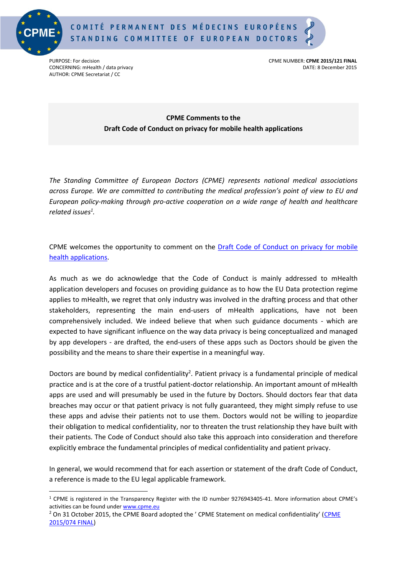

 $\overline{a}$ 



AUTHOR: CPME Secretariat / CC

PURPOSE: For decisionCPME NUMBER: **CPME 2015/121 FINAL** CONCERNING: mHealth / data privacy DATE: 8 December 2015

## **CPME Comments to the Draft Code of Conduct on privacy for mobile health applications**

*The Standing Committee of European Doctors (CPME) represents national medical associations across Europe. We are committed to contributing the medical profession's point of view to EU and European policy-making through pro-active cooperation on a wide range of health and healthcare related issues<sup>1</sup> .*

CPME welcomes the opportunity to comment on the [Draft Code of Conduct on privacy for mobile](http://ec.europa.eu/newsroom/dae/document.cfm?action=display&doc_id=12378)  [health applications.](http://ec.europa.eu/newsroom/dae/document.cfm?action=display&doc_id=12378)

As much as we do acknowledge that the Code of Conduct is mainly addressed to mHealth application developers and focuses on providing guidance as to how the EU Data protection regime applies to mHealth, we regret that only industry was involved in the drafting process and that other stakeholders, representing the main end-users of mHealth applications, have not been comprehensively included. We indeed believe that when such guidance documents - which are expected to have significant influence on the way data privacy is being conceptualized and managed by app developers - are drafted, the end-users of these apps such as Doctors should be given the possibility and the means to share their expertise in a meaningful way.

Doctors are bound by medical confidentiality<sup>2</sup>. Patient privacy is a fundamental principle of medical practice and is at the core of a trustful patient-doctor relationship. An important amount of mHealth apps are used and will presumably be used in the future by Doctors. Should doctors fear that data breaches may occur or that patient privacy is not fully guaranteed, they might simply refuse to use these apps and advise their patients not to use them. Doctors would not be willing to jeopardize their obligation to medical confidentiality, nor to threaten the trust relationship they have built with their patients. The Code of Conduct should also take this approach into consideration and therefore explicitly embrace the fundamental principles of medical confidentiality and patient privacy.

In general, we would recommend that for each assertion or statement of the draft Code of Conduct, a reference is made to the EU legal applicable framework.

<sup>1</sup> CPME is registered in the Transparency Register with the ID number 9276943405-41. More information about CPME's activities can be found under [www.cpme.eu](http://www.cpme.eu/)

<sup>&</sup>lt;sup>2</sup> On 31 October 2015, the [CPME](http://doc.cpme.eu:591/adopted/2015/CPME_AD_31102015_074_FINAL_EN_Statement.medical.confidentiality.pdf) Board adopted the ' CPME Statement on medical confidentiality' (CPME [2015/074 FINAL\)](http://doc.cpme.eu:591/adopted/2015/CPME_AD_31102015_074_FINAL_EN_Statement.medical.confidentiality.pdf)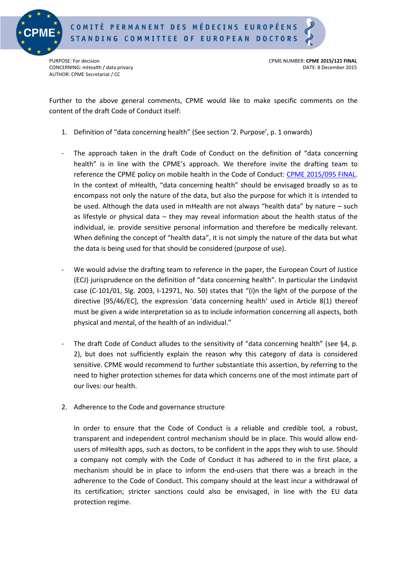

AUTHOR: CPME Secretariat / CC

PURPOSE: For decisionCPME NUMBER: **CPME 2015/121 FINAL** CONCERNING: mHealth / data privacy DATE: 8 December 2015

Further to the above general comments, CPME would like to make specific comments on the content of the draft Code of Conduct itself:

- 1. Definition of "data concerning health" (See section '2. Purpose', p. 1 onwards)
- The approach taken in the draft Code of Conduct on the definition of "data concerning health" is in line with the CPME's approach. We therefore invite the drafting team to reference the CPME policy on mobile health in the Code of Conduct: [CPME 2015/095 FINAL.](http://doc.cpme.eu:591/adopted/2015/CPME_AD_Board_31102015_095_FINAL_EN_Policy.on.Mobile.Health.mHealth.pdf) In the context of mHealth, "data concerning health" should be envisaged broadly so as to encompass not only the nature of the data, but also the purpose for which it is intended to be used. Although the data used in mHealth are not always "health data" by nature – such as lifestyle or physical data – they may reveal information about the health status of the individual, ie. provide sensitive personal information and therefore be medically relevant. When defining the concept of "health data", it is not simply the nature of the data but what the data is being used for that should be considered (purpose of use).
- We would advise the drafting team to reference in the paper, the European Court of Justice (ECJ) jurisprudence on the definition of "data concerning health". In particular the Lindqvist case (C-101/01, Slg. 2003, I-12971, No. 50) states that "(i)n the light of the purpose of the directive [95/46/EC], the expression 'data concerning health' used in Article 8(1) thereof must be given a wide interpretation so as to include information concerning all aspects, both physical and mental, of the health of an individual."
- The draft Code of Conduct alludes to the sensitivity of "data concerning health" (see §4, p. 2), but does not sufficiently explain the reason why this category of data is considered sensitive. CPME would recommend to further substantiate this assertion, by referring to the need to higher protection schemes for data which concerns one of the most intimate part of our lives: our health.
- 2. Adherence to the Code and governance structure

In order to ensure that the Code of Conduct is a reliable and credible tool, a robust, transparent and independent control mechanism should be in place. This would allow endusers of mHealth apps, such as doctors, to be confident in the apps they wish to use. Should a company not comply with the Code of Conduct it has adhered to in the first place, a mechanism should be in place to inform the end-users that there was a breach in the adherence to the Code of Conduct. This company should at the least incur a withdrawal of its certification; stricter sanctions could also be envisaged, in line with the EU data protection regime.